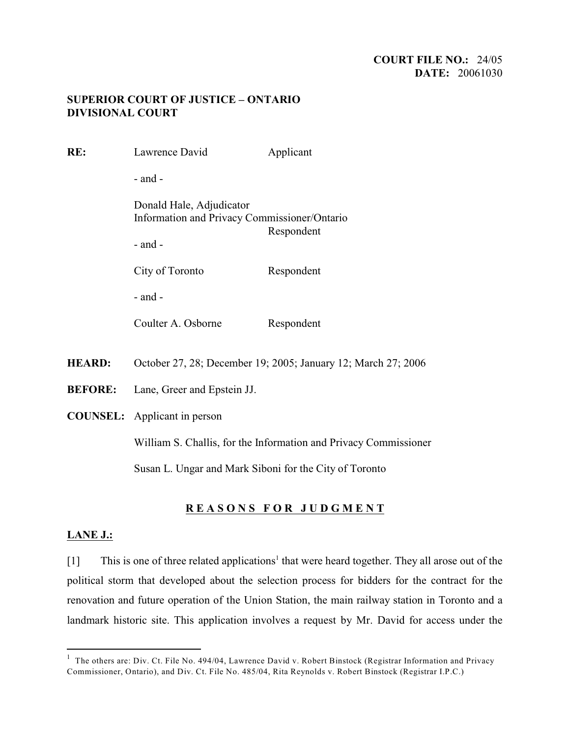### **COURT FILE NO.:** 24/05 **DATE:** 20061030

## **SUPERIOR COURT OF JUSTICE – ONTARIO DIVISIONAL COURT**

| RE:            | Lawrence David                                                                                        | Applicant  |
|----------------|-------------------------------------------------------------------------------------------------------|------------|
|                | $-$ and $-$                                                                                           |            |
|                | Donald Hale, Adjudicator<br>Information and Privacy Commissioner/Ontario<br>Respondent<br>$-$ and $-$ |            |
|                | City of Toronto                                                                                       | Respondent |
|                | $-$ and $-$                                                                                           |            |
|                | Coulter A. Osborne                                                                                    | Respondent |
| <b>HEARD:</b>  | October 27, 28; December 19; 2005; January 12; March 27; 2006                                         |            |
| <b>BEFORE:</b> | Lane, Greer and Epstein JJ.                                                                           |            |
|                | <b>COUNSEL:</b> Applicant in person                                                                   |            |
|                | William S. Challis, for the Information and Privacy Commissioner                                      |            |
|                | Susan L. Ungar and Mark Siboni for the City of Toronto                                                |            |
|                |                                                                                                       |            |

# **R E A S O N S F O R J U D G M E N T**

### **LANE J.:**

[1] This is one of three related applications<sup>1</sup> that were heard together. They all arose out of the political storm that developed about the selection process for bidders for the contract for the renovation and future operation of the Union Station, the main railway station in Toronto and a landmark historic site. This application involves a request by Mr. David for access under the

 $1$  The others are: Div. Ct. File No. 494/04, Lawrence David v. Robert Binstock (Registrar Information and Privacy Commissioner, Ontario), and Div. Ct. File No. 485/04, Rita Reynolds v. Robert Binstock (Registrar I.P.C.)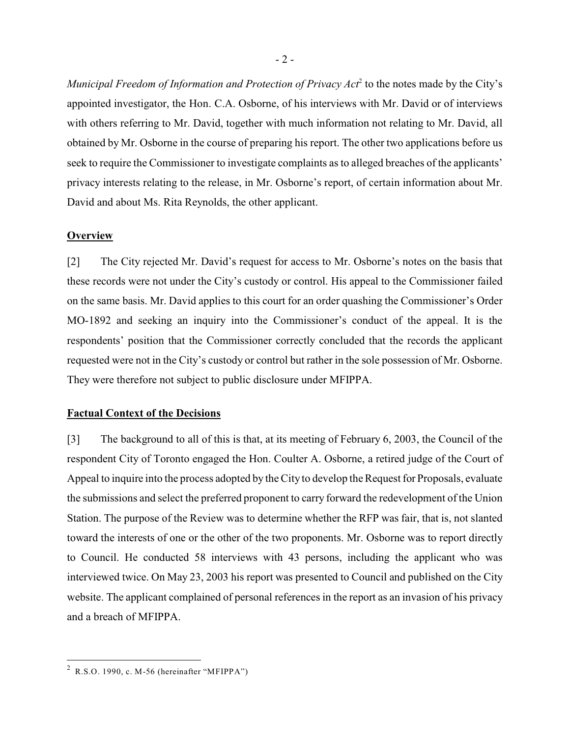*Municipal Freedom of Information and Protection of Privacy Act*<sup>2</sup> to the notes made by the City's appointed investigator, the Hon. C.A. Osborne, of his interviews with Mr. David or of interviews with others referring to Mr. David, together with much information not relating to Mr. David, all obtained by Mr. Osborne in the course of preparing his report. The other two applications before us seek to require the Commissioner to investigate complaints as to alleged breaches of the applicants' privacy interests relating to the release, in Mr. Osborne's report, of certain information about Mr. David and about Ms. Rita Reynolds, the other applicant.

#### **Overview**

[2] The City rejected Mr. David's request for access to Mr. Osborne's notes on the basis that these records were not under the City's custody or control. His appeal to the Commissioner failed on the same basis. Mr. David applies to this court for an order quashing the Commissioner's Order MO-1892 and seeking an inquiry into the Commissioner's conduct of the appeal. It is the respondents' position that the Commissioner correctly concluded that the records the applicant requested were not in the City's custody or control but rather in the sole possession of Mr. Osborne. They were therefore not subject to public disclosure under MFIPPA.

#### **Factual Context of the Decisions**

[3] The background to all of this is that, at its meeting of February 6, 2003, the Council of the respondent City of Toronto engaged the Hon. Coulter A. Osborne, a retired judge of the Court of Appeal to inquire into the process adopted by the City to develop the Request for Proposals, evaluate the submissions and select the preferred proponent to carry forward the redevelopment of the Union Station. The purpose of the Review was to determine whether the RFP was fair, that is, not slanted toward the interests of one or the other of the two proponents. Mr. Osborne was to report directly to Council. He conducted 58 interviews with 43 persons, including the applicant who was interviewed twice. On May 23, 2003 his report was presented to Council and published on the City website. The applicant complained of personal references in the report as an invasion of his privacy and a breach of MFIPPA.

<sup>&</sup>lt;sup>2</sup> R.S.O. 1990, c. M-56 (hereinafter "MFIPPA")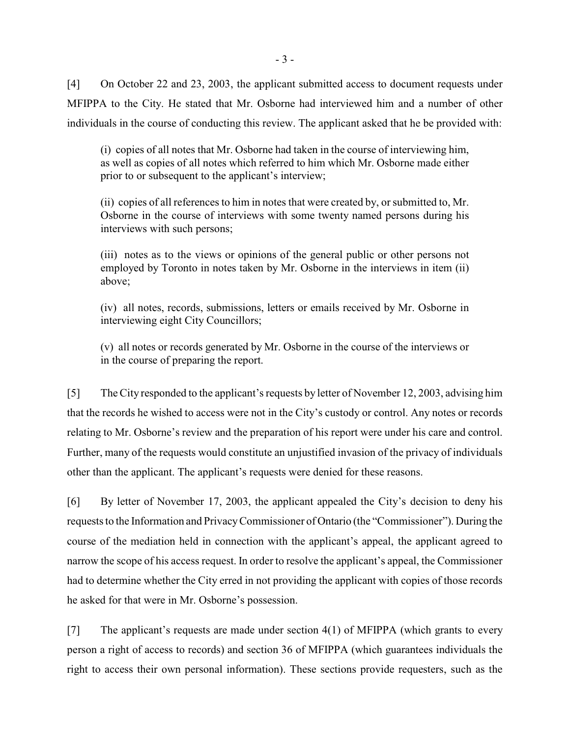[4] On October 22 and 23, 2003, the applicant submitted access to document requests under MFIPPA to the City. He stated that Mr. Osborne had interviewed him and a number of other individuals in the course of conducting this review. The applicant asked that he be provided with:

(i) copies of all notes that Mr. Osborne had taken in the course of interviewing him, as well as copies of all notes which referred to him which Mr. Osborne made either prior to or subsequent to the applicant's interview;

(ii) copies of all references to him in notes that were created by, or submitted to, Mr. Osborne in the course of interviews with some twenty named persons during his interviews with such persons;

(iii) notes as to the views or opinions of the general public or other persons not employed by Toronto in notes taken by Mr. Osborne in the interviews in item (ii) above;

(iv) all notes, records, submissions, letters or emails received by Mr. Osborne in interviewing eight City Councillors;

(v) all notes or records generated by Mr. Osborne in the course of the interviews or in the course of preparing the report.

[5] The City responded to the applicant's requests by letter of November 12, 2003, advising him that the records he wished to access were not in the City's custody or control. Any notes or records relating to Mr. Osborne's review and the preparation of his report were under his care and control. Further, many of the requests would constitute an unjustified invasion of the privacy of individuals other than the applicant. The applicant's requests were denied for these reasons.

[6] By letter of November 17, 2003, the applicant appealed the City's decision to deny his requests to the Information and Privacy Commissioner of Ontario (the "Commissioner"). During the course of the mediation held in connection with the applicant's appeal, the applicant agreed to narrow the scope of his access request. In order to resolve the applicant's appeal, the Commissioner had to determine whether the City erred in not providing the applicant with copies of those records he asked for that were in Mr. Osborne's possession.

[7] The applicant's requests are made under section 4(1) of MFIPPA (which grants to every person a right of access to records) and section 36 of MFIPPA (which guarantees individuals the right to access their own personal information). These sections provide requesters, such as the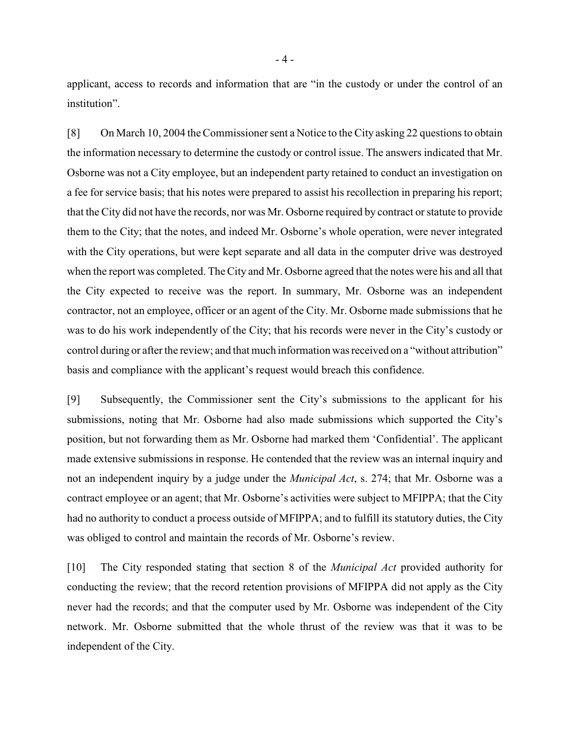applicant, access to records and information that are "in the custody or under the control of an institution".

[8] On March 10, 2004 the Commissioner sent a Notice to the City asking 22 questions to obtain the information necessary to determine the custody or control issue. The answers indicated that Mr. Osborne was not a City employee, but an independent party retained to conduct an investigation on a fee for service basis; that his notes were prepared to assist his recollection in preparing his report; that the City did not have the records, nor was Mr. Osborne required by contract or statute to provide them to the City; that the notes, and indeed Mr. Osborne's whole operation, were never integrated with the City operations, but were kept separate and all data in the computer drive was destroyed when the report was completed. The City and Mr. Osborne agreed that the notes were his and all that the City expected to receive was the report. In summary, Mr. Osborne was an independent contractor, not an employee, officer or an agent of the City. Mr. Osborne made submissions that he was to do his work independently of the City; that his records were never in the City's custody or control during or after the review; and that much information was received on a "without attribution" basis and compliance with the applicant's request would breach this confidence.

[9] Subsequently, the Commissioner sent the City's submissions to the applicant for his submissions, noting that Mr. Osborne had also made submissions which supported the City's position, but not forwarding them as Mr. Osborne had marked them 'Confidential'. The applicant made extensive submissions in response. He contended that the review was an internal inquiry and not an independent inquiry by a judge under the *Municipal Act*, s. 274; that Mr. Osborne was a contract employee or an agent; that Mr. Osborne's activities were subject to MFIPPA; that the City had no authority to conduct a process outside of MFIPPA; and to fulfill its statutory duties, the City was obliged to control and maintain the records of Mr. Osborne's review.

[10] The City responded stating that section 8 of the *Municipal Act* provided authority for conducting the review; that the record retention provisions of MFIPPA did not apply as the City never had the records; and that the computer used by Mr. Osborne was independent of the City network. Mr. Osborne submitted that the whole thrust of the review was that it was to be independent of the City.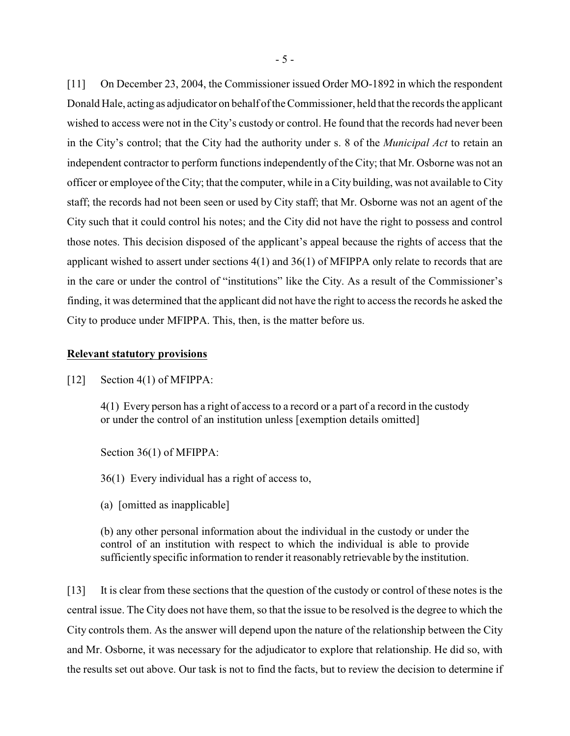[11] On December 23, 2004, the Commissioner issued Order MO-1892 in which the respondent Donald Hale, acting as adjudicator on behalf of the Commissioner, held that the records the applicant wished to access were not in the City's custody or control. He found that the records had never been in the City's control; that the City had the authority under s. 8 of the *Municipal Act* to retain an independent contractor to perform functions independently of the City; that Mr. Osborne was not an officer or employee of the City; that the computer, while in a City building, was not available to City staff; the records had not been seen or used by City staff; that Mr. Osborne was not an agent of the City such that it could control his notes; and the City did not have the right to possess and control those notes. This decision disposed of the applicant's appeal because the rights of access that the applicant wished to assert under sections 4(1) and 36(1) of MFIPPA only relate to records that are in the care or under the control of "institutions" like the City. As a result of the Commissioner's finding, it was determined that the applicant did not have the right to access the records he asked the City to produce under MFIPPA. This, then, is the matter before us.

#### **Relevant statutory provisions**

[12] Section 4(1) of MFIPPA:

4(1) Every person has a right of access to a record or a part of a record in the custody or under the control of an institution unless [exemption details omitted]

Section 36(1) of MFIPPA:

36(1) Every individual has a right of access to,

(a) [omitted as inapplicable]

(b) any other personal information about the individual in the custody or under the control of an institution with respect to which the individual is able to provide sufficiently specific information to render it reasonably retrievable by the institution.

[13] It is clear from these sections that the question of the custody or control of these notes is the central issue. The City does not have them, so that the issue to be resolved is the degree to which the City controls them. As the answer will depend upon the nature of the relationship between the City and Mr. Osborne, it was necessary for the adjudicator to explore that relationship. He did so, with the results set out above. Our task is not to find the facts, but to review the decision to determine if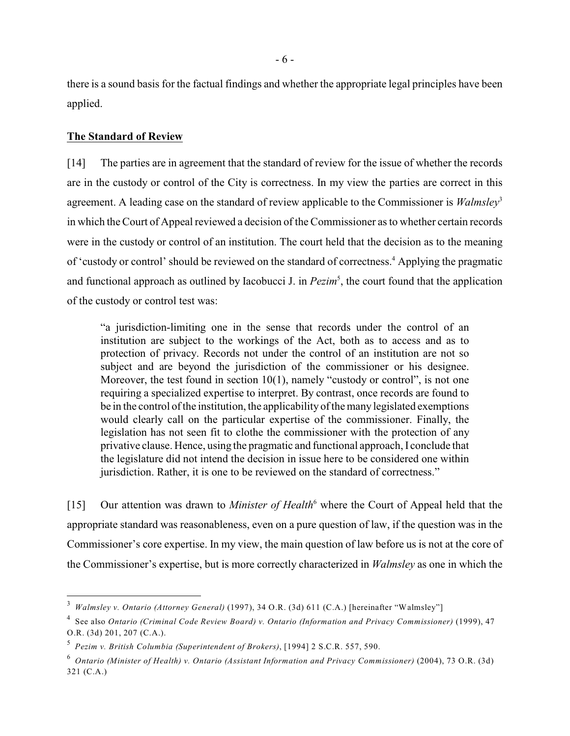there is a sound basis for the factual findings and whether the appropriate legal principles have been applied.

### **The Standard of Review**

[14] The parties are in agreement that the standard of review for the issue of whether the records are in the custody or control of the City is correctness. In my view the parties are correct in this agreement. A leading case on the standard of review applicable to the Commissioner is *Walmsley*<sup>3</sup> in which the Court of Appeal reviewed a decision of the Commissioner as to whether certain records were in the custody or control of an institution. The court held that the decision as to the meaning of 'custody or control' should be reviewed on the standard of correctness.<sup>4</sup> Applying the pragmatic and functional approach as outlined by Iacobucci J. in  $Pezim<sup>5</sup>$ , the court found that the application of the custody or control test was:

"a jurisdiction-limiting one in the sense that records under the control of an institution are subject to the workings of the Act, both as to access and as to protection of privacy. Records not under the control of an institution are not so subject and are beyond the jurisdiction of the commissioner or his designee. Moreover, the test found in section 10(1), namely "custody or control", is not one requiring a specialized expertise to interpret. By contrast, once records are found to be in the control of the institution, the applicability of the many legislated exemptions would clearly call on the particular expertise of the commissioner. Finally, the legislation has not seen fit to clothe the commissioner with the protection of any privative clause. Hence, using the pragmatic and functional approach, I conclude that the legislature did not intend the decision in issue here to be considered one within jurisdiction. Rather, it is one to be reviewed on the standard of correctness."

[15] Our attention was drawn to *Minister of Health*<sup>6</sup> where the Court of Appeal held that the appropriate standard was reasonableness, even on a pure question of law, if the question was in the Commissioner's core expertise. In my view, the main question of law before us is not at the core of the Commissioner's expertise, but is more correctly characterized in *Walmsley* as one in which the

*Walmsley v. Ontario (Attorney General)* (1997), 34 O.R. (3d) 611 (C.A.) [hereinafter "Walmsley"]

See also *Ontario (Criminal Code Review Board) v. Ontario (Information and Privacy Commissioner)* (1999), 47 <sup>4</sup> O.R. (3d) 201, 207 (C.A.).

<sup>&</sup>lt;sup>5</sup> Pezim v. British Columbia (Superintendent of Brokers), [1994] 2 S.C.R. 557, 590.

*Ontario (Minister of Health) v. Ontario (Assistant Information and Privacy Commissioner)* (2004), 73 O.R. (3d) <sup>6</sup> 321 (C.A.)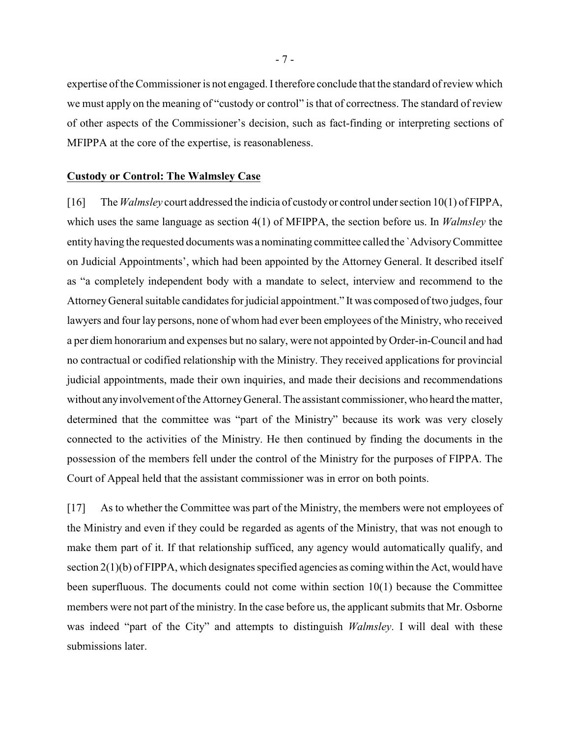expertise of the Commissioner is not engaged. I therefore conclude that the standard of review which we must apply on the meaning of "custody or control" is that of correctness. The standard of review of other aspects of the Commissioner's decision, such as fact-finding or interpreting sections of MFIPPA at the core of the expertise, is reasonableness.

#### **Custody or Control: The Walmsley Case**

[16] The *Walmsley* court addressed the indicia of custody or control under section 10(1) of FIPPA, which uses the same language as section 4(1) of MFIPPA, the section before us. In *Walmsley* the entity having the requested documents was a nominating committee called the `Advisory Committee on Judicial Appointments', which had been appointed by the Attorney General. It described itself as "a completely independent body with a mandate to select, interview and recommend to the Attorney General suitable candidates for judicial appointment." It was composed of two judges, four lawyers and four lay persons, none of whom had ever been employees of the Ministry, who received a per diem honorarium and expenses but no salary, were not appointed by Order-in-Council and had no contractual or codified relationship with the Ministry. They received applications for provincial judicial appointments, made their own inquiries, and made their decisions and recommendations without any involvement of the Attorney General. The assistant commissioner, who heard the matter, determined that the committee was "part of the Ministry" because its work was very closely connected to the activities of the Ministry. He then continued by finding the documents in the possession of the members fell under the control of the Ministry for the purposes of FIPPA. The Court of Appeal held that the assistant commissioner was in error on both points.

[17] As to whether the Committee was part of the Ministry, the members were not employees of the Ministry and even if they could be regarded as agents of the Ministry, that was not enough to make them part of it. If that relationship sufficed, any agency would automatically qualify, and section 2(1)(b) of FIPPA, which designates specified agencies as coming within the Act, would have been superfluous. The documents could not come within section 10(1) because the Committee members were not part of the ministry. In the case before us, the applicant submits that Mr. Osborne was indeed "part of the City" and attempts to distinguish *Walmsley*. I will deal with these submissions later.

- 7 -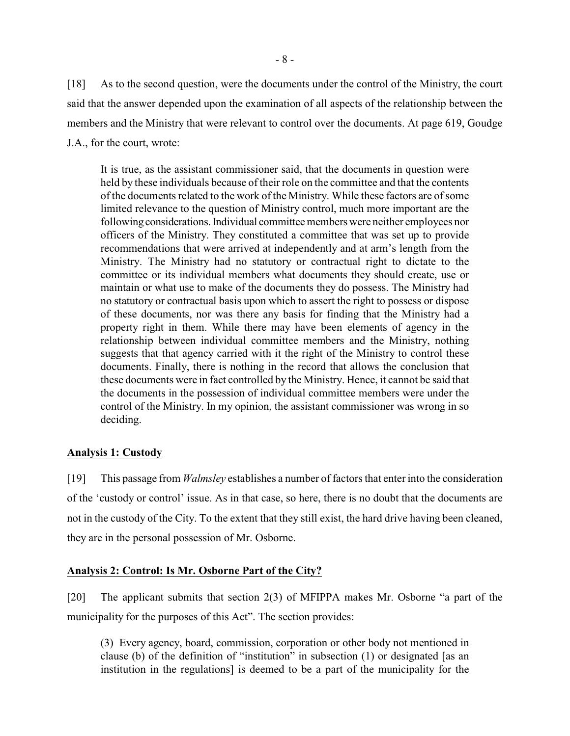[18] As to the second question, were the documents under the control of the Ministry, the court said that the answer depended upon the examination of all aspects of the relationship between the members and the Ministry that were relevant to control over the documents. At page 619, Goudge J.A., for the court, wrote:

It is true, as the assistant commissioner said, that the documents in question were held by these individuals because of their role on the committee and that the contents of the documents related to the work of the Ministry. While these factors are of some limited relevance to the question of Ministry control, much more important are the following considerations. Individual committee members were neither employees nor officers of the Ministry. They constituted a committee that was set up to provide recommendations that were arrived at independently and at arm's length from the Ministry. The Ministry had no statutory or contractual right to dictate to the committee or its individual members what documents they should create, use or maintain or what use to make of the documents they do possess. The Ministry had no statutory or contractual basis upon which to assert the right to possess or dispose of these documents, nor was there any basis for finding that the Ministry had a property right in them. While there may have been elements of agency in the relationship between individual committee members and the Ministry, nothing suggests that that agency carried with it the right of the Ministry to control these documents. Finally, there is nothing in the record that allows the conclusion that these documents were in fact controlled by the Ministry. Hence, it cannot be said that the documents in the possession of individual committee members were under the control of the Ministry. In my opinion, the assistant commissioner was wrong in so deciding.

## **Analysis 1: Custody**

[19] This passage from *Walmsley* establishes a number of factors that enter into the consideration of the 'custody or control' issue. As in that case, so here, there is no doubt that the documents are not in the custody of the City. To the extent that they still exist, the hard drive having been cleaned, they are in the personal possession of Mr. Osborne.

## **Analysis 2: Control: Is Mr. Osborne Part of the City?**

[20] The applicant submits that section 2(3) of MFIPPA makes Mr. Osborne "a part of the municipality for the purposes of this Act". The section provides:

(3) Every agency, board, commission, corporation or other body not mentioned in clause (b) of the definition of "institution" in subsection (1) or designated [as an institution in the regulations] is deemed to be a part of the municipality for the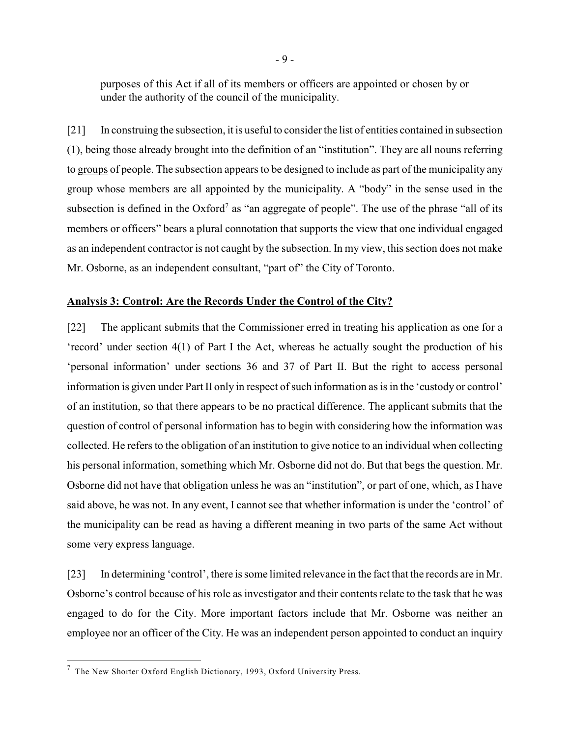purposes of this Act if all of its members or officers are appointed or chosen by or under the authority of the council of the municipality.

[21] In construing the subsection, it is useful to consider the list of entities contained in subsection (1), being those already brought into the definition of an "institution". They are all nouns referring to groups of people. The subsection appears to be designed to include as part of the municipality any group whose members are all appointed by the municipality. A "body" in the sense used in the subsection is defined in the  $Oxford<sup>7</sup>$  as "an aggregate of people". The use of the phrase "all of its members or officers" bears a plural connotation that supports the view that one individual engaged as an independent contractor is not caught by the subsection. In my view, this section does not make Mr. Osborne, as an independent consultant, "part of" the City of Toronto.

#### **Analysis 3: Control: Are the Records Under the Control of the City?**

[22] The applicant submits that the Commissioner erred in treating his application as one for a 'record' under section 4(1) of Part I the Act, whereas he actually sought the production of his 'personal information' under sections 36 and 37 of Part II. But the right to access personal information is given under Part II only in respect of such information as is in the 'custody or control' of an institution, so that there appears to be no practical difference. The applicant submits that the question of control of personal information has to begin with considering how the information was collected. He refers to the obligation of an institution to give notice to an individual when collecting his personal information, something which Mr. Osborne did not do. But that begs the question. Mr. Osborne did not have that obligation unless he was an "institution", or part of one, which, as I have said above, he was not. In any event, I cannot see that whether information is under the 'control' of the municipality can be read as having a different meaning in two parts of the same Act without some very express language.

[23] In determining 'control', there is some limited relevance in the fact that the records are in Mr. Osborne's control because of his role as investigator and their contents relate to the task that he was engaged to do for the City. More important factors include that Mr. Osborne was neither an employee nor an officer of the City. He was an independent person appointed to conduct an inquiry

 $^7$  The New Shorter Oxford English Dictionary, 1993, Oxford University Press.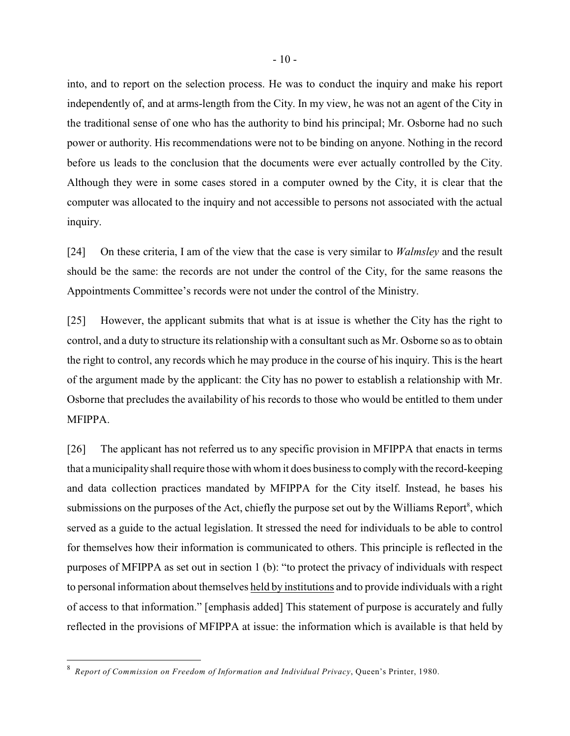into, and to report on the selection process. He was to conduct the inquiry and make his report independently of, and at arms-length from the City. In my view, he was not an agent of the City in the traditional sense of one who has the authority to bind his principal; Mr. Osborne had no such power or authority. His recommendations were not to be binding on anyone. Nothing in the record before us leads to the conclusion that the documents were ever actually controlled by the City. Although they were in some cases stored in a computer owned by the City, it is clear that the computer was allocated to the inquiry and not accessible to persons not associated with the actual inquiry.

[24] On these criteria, I am of the view that the case is very similar to *Walmsley* and the result should be the same: the records are not under the control of the City, for the same reasons the Appointments Committee's records were not under the control of the Ministry.

[25] However, the applicant submits that what is at issue is whether the City has the right to control, and a duty to structure its relationship with a consultant such as Mr. Osborne so as to obtain the right to control, any records which he may produce in the course of his inquiry. This is the heart of the argument made by the applicant: the City has no power to establish a relationship with Mr. Osborne that precludes the availability of his records to those who would be entitled to them under MFIPPA.

[26] The applicant has not referred us to any specific provision in MFIPPA that enacts in terms that a municipality shall require those with whom it does business to comply with the record-keeping and data collection practices mandated by MFIPPA for the City itself. Instead, he bases his submissions on the purposes of the Act, chiefly the purpose set out by the Williams Report<sup>8</sup>, which served as a guide to the actual legislation. It stressed the need for individuals to be able to control for themselves how their information is communicated to others. This principle is reflected in the purposes of MFIPPA as set out in section 1 (b): "to protect the privacy of individuals with respect to personal information about themselves held by institutions and to provide individuals with a right of access to that information." [emphasis added] This statement of purpose is accurately and fully reflected in the provisions of MFIPPA at issue: the information which is available is that held by

*Report of Commission on Freedom of Information and Individual Privacy*, Queen's Printer, 1980. <sup>8</sup>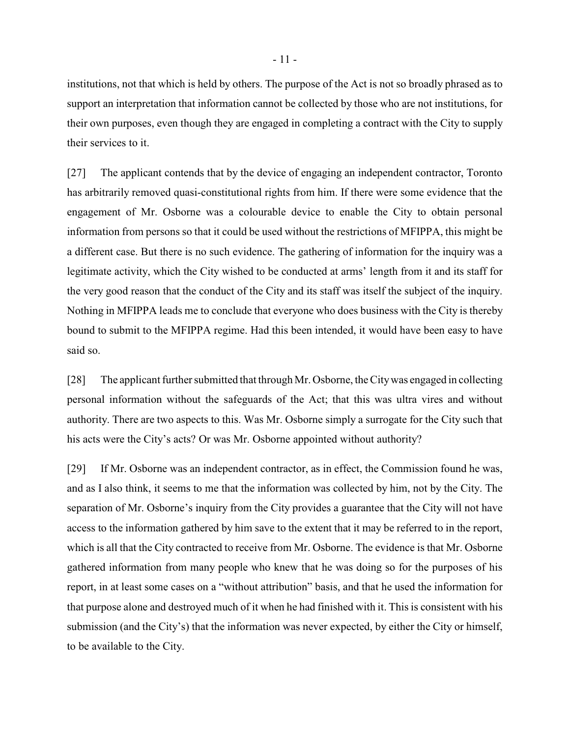institutions, not that which is held by others. The purpose of the Act is not so broadly phrased as to support an interpretation that information cannot be collected by those who are not institutions, for their own purposes, even though they are engaged in completing a contract with the City to supply their services to it.

[27] The applicant contends that by the device of engaging an independent contractor, Toronto has arbitrarily removed quasi-constitutional rights from him. If there were some evidence that the engagement of Mr. Osborne was a colourable device to enable the City to obtain personal information from persons so that it could be used without the restrictions of MFIPPA, this might be a different case. But there is no such evidence. The gathering of information for the inquiry was a legitimate activity, which the City wished to be conducted at arms' length from it and its staff for the very good reason that the conduct of the City and its staff was itself the subject of the inquiry. Nothing in MFIPPA leads me to conclude that everyone who does business with the City is thereby bound to submit to the MFIPPA regime. Had this been intended, it would have been easy to have said so.

[28] The applicant further submitted that through Mr. Osborne, the City was engaged in collecting personal information without the safeguards of the Act; that this was ultra vires and without authority. There are two aspects to this. Was Mr. Osborne simply a surrogate for the City such that his acts were the City's acts? Or was Mr. Osborne appointed without authority?

[29] If Mr. Osborne was an independent contractor, as in effect, the Commission found he was, and as I also think, it seems to me that the information was collected by him, not by the City. The separation of Mr. Osborne's inquiry from the City provides a guarantee that the City will not have access to the information gathered by him save to the extent that it may be referred to in the report, which is all that the City contracted to receive from Mr. Osborne. The evidence is that Mr. Osborne gathered information from many people who knew that he was doing so for the purposes of his report, in at least some cases on a "without attribution" basis, and that he used the information for that purpose alone and destroyed much of it when he had finished with it. This is consistent with his submission (and the City's) that the information was never expected, by either the City or himself, to be available to the City.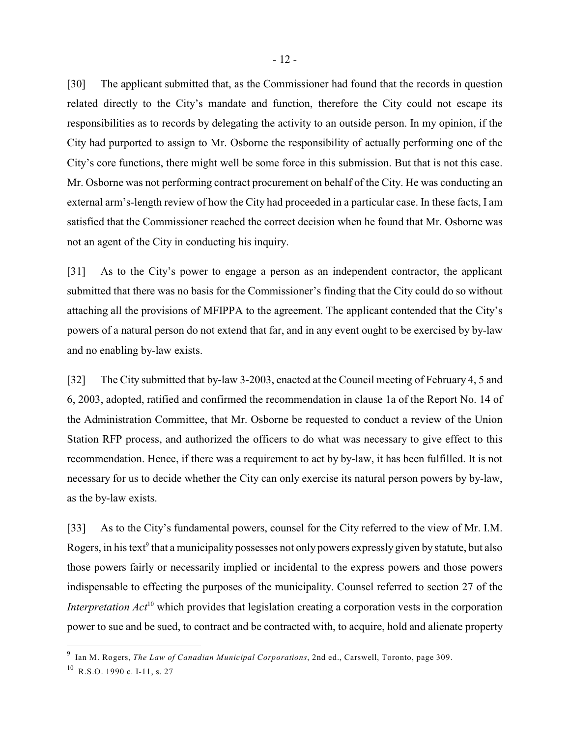[30] The applicant submitted that, as the Commissioner had found that the records in question related directly to the City's mandate and function, therefore the City could not escape its responsibilities as to records by delegating the activity to an outside person. In my opinion, if the City had purported to assign to Mr. Osborne the responsibility of actually performing one of the City's core functions, there might well be some force in this submission. But that is not this case. Mr. Osborne was not performing contract procurement on behalf of the City. He was conducting an external arm's-length review of how the City had proceeded in a particular case. In these facts, I am satisfied that the Commissioner reached the correct decision when he found that Mr. Osborne was not an agent of the City in conducting his inquiry.

[31] As to the City's power to engage a person as an independent contractor, the applicant submitted that there was no basis for the Commissioner's finding that the City could do so without attaching all the provisions of MFIPPA to the agreement. The applicant contended that the City's powers of a natural person do not extend that far, and in any event ought to be exercised by by-law and no enabling by-law exists.

[32] The City submitted that by-law 3-2003, enacted at the Council meeting of February 4, 5 and 6, 2003, adopted, ratified and confirmed the recommendation in clause 1a of the Report No. 14 of the Administration Committee, that Mr. Osborne be requested to conduct a review of the Union Station RFP process, and authorized the officers to do what was necessary to give effect to this recommendation. Hence, if there was a requirement to act by by-law, it has been fulfilled. It is not necessary for us to decide whether the City can only exercise its natural person powers by by-law, as the by-law exists.

[33] As to the City's fundamental powers, counsel for the City referred to the view of Mr. I.M. Rogers, in his text<sup>9</sup> that a municipality possesses not only powers expressly given by statute, but also those powers fairly or necessarily implied or incidental to the express powers and those powers indispensable to effecting the purposes of the municipality. Counsel referred to section 27 of the *Interpretation*  $Act^{10}$  which provides that legislation creating a corporation vests in the corporation power to sue and be sued, to contract and be contracted with, to acquire, hold and alienate property

Ian M. Rogers, *The Law of Canadian Municipal Corporations*, 2nd ed., Carswell, Toronto, page 309.

 $^{10}$  R.S.O. 1990 c. I-11, s. 27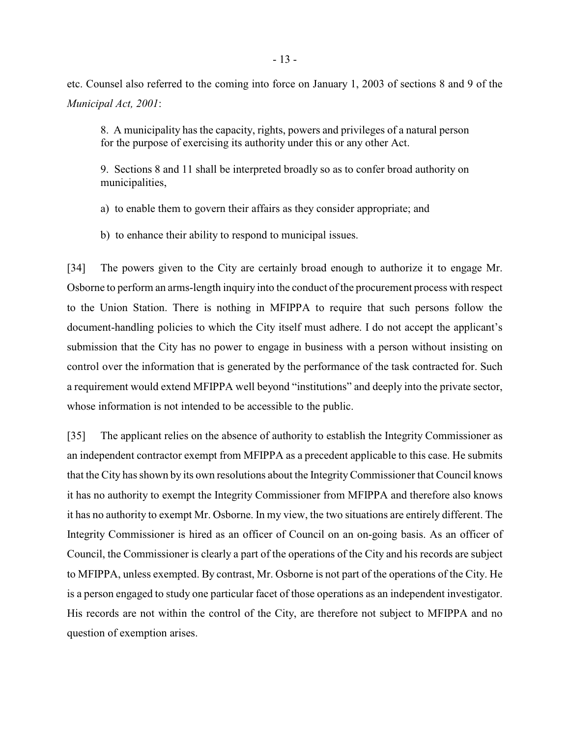etc. Counsel also referred to the coming into force on January 1, 2003 of sections 8 and 9 of the *Municipal Act, 2001*:

8. A municipality has the capacity, rights, powers and privileges of a natural person for the purpose of exercising its authority under this or any other Act.

9. Sections 8 and 11 shall be interpreted broadly so as to confer broad authority on municipalities,

a) to enable them to govern their affairs as they consider appropriate; and

b) to enhance their ability to respond to municipal issues.

[34] The powers given to the City are certainly broad enough to authorize it to engage Mr. Osborne to perform an arms-length inquiry into the conduct of the procurement process with respect to the Union Station. There is nothing in MFIPPA to require that such persons follow the document-handling policies to which the City itself must adhere. I do not accept the applicant's submission that the City has no power to engage in business with a person without insisting on control over the information that is generated by the performance of the task contracted for. Such a requirement would extend MFIPPA well beyond "institutions" and deeply into the private sector, whose information is not intended to be accessible to the public.

[35] The applicant relies on the absence of authority to establish the Integrity Commissioner as an independent contractor exempt from MFIPPA as a precedent applicable to this case. He submits that the City has shown by its own resolutions about the Integrity Commissioner that Council knows it has no authority to exempt the Integrity Commissioner from MFIPPA and therefore also knows it has no authority to exempt Mr. Osborne. In my view, the two situations are entirely different. The Integrity Commissioner is hired as an officer of Council on an on-going basis. As an officer of Council, the Commissioner is clearly a part of the operations of the City and his records are subject to MFIPPA, unless exempted. By contrast, Mr. Osborne is not part of the operations of the City. He is a person engaged to study one particular facet of those operations as an independent investigator. His records are not within the control of the City, are therefore not subject to MFIPPA and no question of exemption arises.